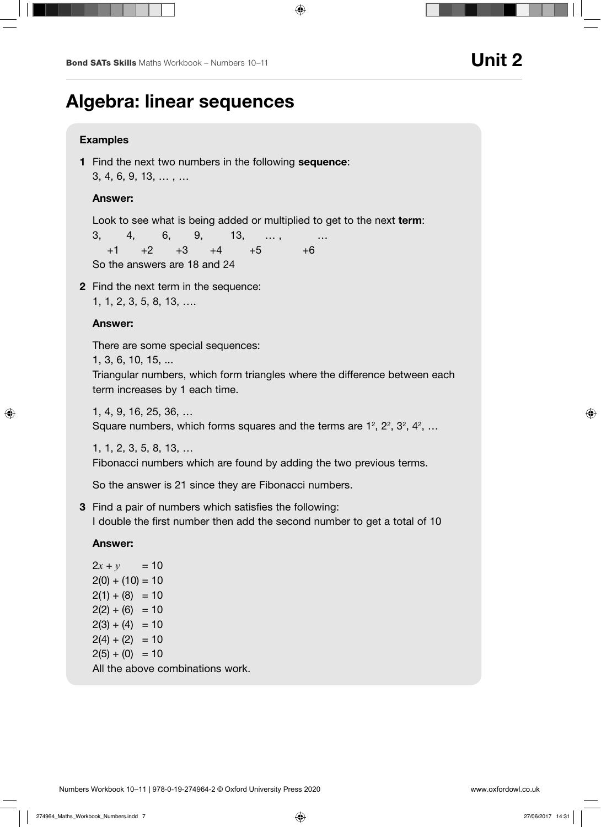# Algebra: linear sequences

### Examples

1 Find the next two numbers in the following sequence: 3, 4, 6, 9, 13, … , …

## Answer:

Look to see what is being added or multiplied to get to the next term:

 3, 4, 6, 9, 13, … , …  $+1$   $+2$   $+3$   $+4$   $+5$   $+6$ So the answers are 18 and 24

2 Find the next term in the sequence: 1, 1, 2, 3, 5, 8, 13, ….

## Answer:

There are some special sequences:

1, 3, 6, 10, 15, ...

Triangular numbers, which form triangles where the difference between each term increases by 1 each time.

1, 4, 9, 16, 25, 36, … Square numbers, which forms squares and the terms are  $1^2$ ,  $2^2$ ,  $3^2$ ,  $4^2$ , ...

1, 1, 2, 3, 5, 8, 13, …

Fibonacci numbers which are found by adding the two previous terms.

So the answer is 21 since they are Fibonacci numbers.

3 Find a pair of numbers which satisfies the following: I double the first number then add the second number to get a total of 10

### Answer:

 $2x + y = 10$  $2(0) + (10) = 10$  $2(1) + (8) = 10$  $2(2) + (6) = 10$  $2(3) + (4) = 10$  $2(4) + (2) = 10$  $2(5) + (0) = 10$ All the above combinations work.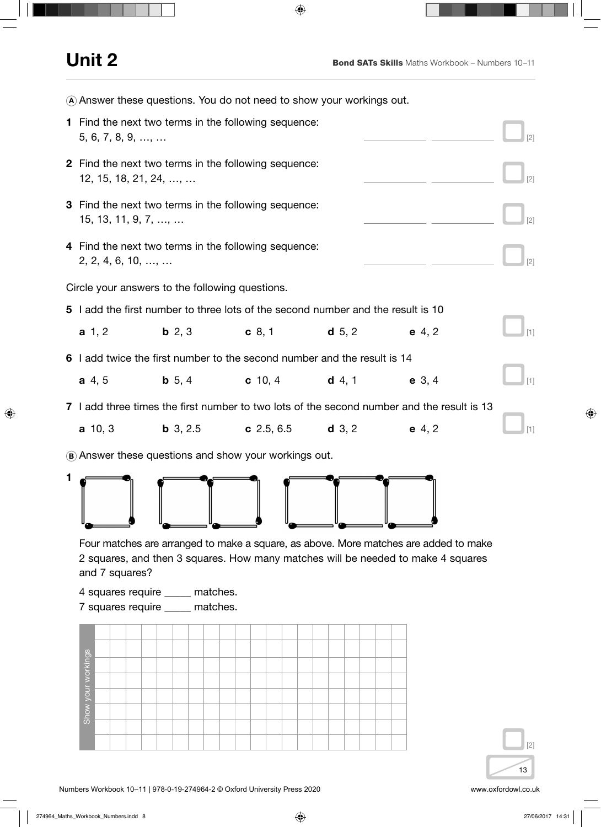|                                                 | (A) Answer these questions. You do not need to show your workings out.                      |                                                                                                                                                                                                                                                 |                                            |  |          |  |  |  |  |  |  |  |  |  |
|-------------------------------------------------|---------------------------------------------------------------------------------------------|-------------------------------------------------------------------------------------------------------------------------------------------------------------------------------------------------------------------------------------------------|--------------------------------------------|--|----------|--|--|--|--|--|--|--|--|--|
|                                                 | 1 Find the next two terms in the following sequence:<br>$5, 6, 7, 8, 9, \ldots, \ldots$     |                                                                                                                                                                                                                                                 |                                            |  |          |  |  |  |  |  |  |  |  |  |
|                                                 | <b>2</b> Find the next two terms in the following sequence:<br>$12, 15, 18, 21, 24, \ldots$ |                                                                                                                                                                                                                                                 |                                            |  |          |  |  |  |  |  |  |  |  |  |
|                                                 | 3 Find the next two terms in the following sequence:<br>$15, 13, 11, 9, 7, \ldots$          |                                                                                                                                                                                                                                                 |                                            |  |          |  |  |  |  |  |  |  |  |  |
|                                                 |                                                                                             | 4 Find the next two terms in the following sequence:<br>$2, 2, 4, 6, 10, \ldots, \ldots$                                                                                                                                                        |                                            |  |          |  |  |  |  |  |  |  |  |  |
| Circle your answers to the following questions. |                                                                                             |                                                                                                                                                                                                                                                 |                                            |  |          |  |  |  |  |  |  |  |  |  |
|                                                 | 5 I add the first number to three lots of the second number and the result is 10            |                                                                                                                                                                                                                                                 |                                            |  |          |  |  |  |  |  |  |  |  |  |
|                                                 | $a \; 1, 2$                                                                                 | <b>b</b> 2, 3                                                                                                                                                                                                                                   | <b>c</b> 8, 1 <b>d</b> 5, 2                |  | $e$ 4, 2 |  |  |  |  |  |  |  |  |  |
|                                                 | 6 add twice the first number to the second number and the result is 14                      |                                                                                                                                                                                                                                                 |                                            |  |          |  |  |  |  |  |  |  |  |  |
|                                                 | a, 4, 5                                                                                     | <b>b</b> 5, 4                                                                                                                                                                                                                                   | <b>c</b> 10, 4 <b>d</b> 4, 1 <b>e</b> 3, 4 |  |          |  |  |  |  |  |  |  |  |  |
|                                                 |                                                                                             | 7 I add three times the first number to two lots of the second number and the result is 13                                                                                                                                                      |                                            |  |          |  |  |  |  |  |  |  |  |  |
|                                                 | $a$ 10, 3                                                                                   | <b>b</b> 3, 2.5 <b>c</b> 2.5, 6.5 <b>d</b> 3, 2                                                                                                                                                                                                 |                                            |  | $e$ 4, 2 |  |  |  |  |  |  |  |  |  |
|                                                 | (B) Answer these questions and show your workings out.                                      |                                                                                                                                                                                                                                                 |                                            |  |          |  |  |  |  |  |  |  |  |  |
|                                                 | and 7 squares?                                                                              |                                                                                                                                                                                                                                                 |                                            |  |          |  |  |  |  |  |  |  |  |  |
|                                                 |                                                                                             | Four matches are arranged to make a square, as above. More matches are added to make<br>2 squares, and then 3 squares. How many matches will be needed to make 4 squares<br>4 squares require _____ matches.<br>7 squares require ____ matches. |                                            |  |          |  |  |  |  |  |  |  |  |  |
|                                                 | Show your workings                                                                          |                                                                                                                                                                                                                                                 |                                            |  |          |  |  |  |  |  |  |  |  |  |

13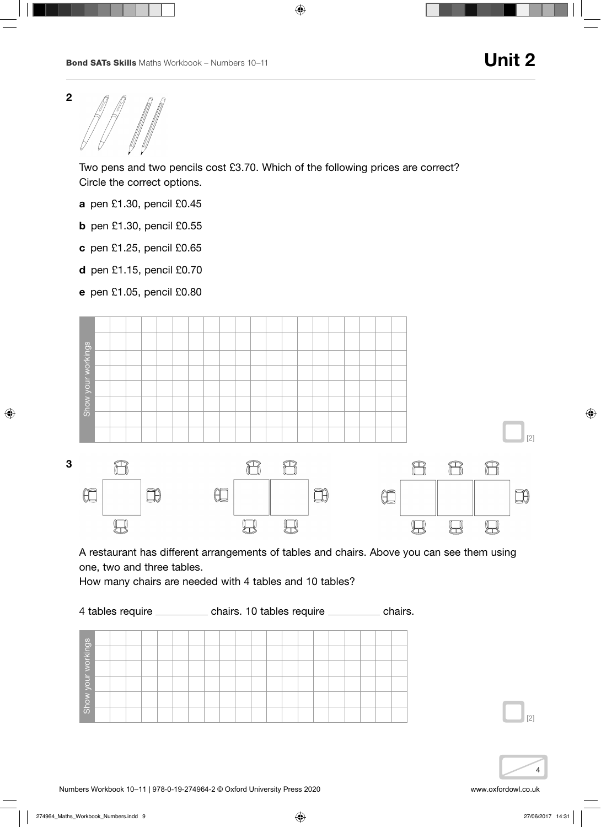

 Two pens and two pencils cost £3.70. Which of the following prices are correct? Circle the correct options.

- a pen £1.30, pencil £0.45
- b pen £1.30, pencil £0.55
- c pen £1.25, pencil £0.65
- d pen £1.15, pencil £0.70
- e pen £1.05, pencil £0.80



A restaurant has different arrangements of tables and chairs. Above you can see them using one, two and three tables.

How many chairs are needed with 4 tables and 10 tables?

4 tables require \_\_\_\_\_\_\_\_\_\_\_ chairs. 10 tables require \_\_\_\_\_\_\_\_\_\_ chairs. Show your workings Show your workings

4

[2]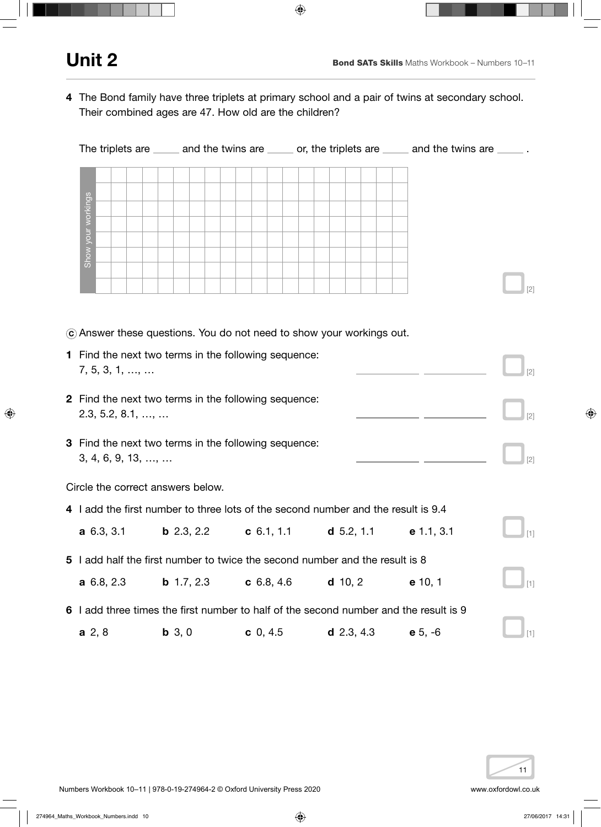4 The Bond family have three triplets at primary school and a pair of twins at secondary school. Their combined ages are 47. How old are the children?

|                                                                                         |                                                                                           |  |                   | The triplets are _____ and the twins are _____ or, the triplets are ____ and the twins are _____. |  |  |          |            |  |  |              |  |  |           |  |  |  |             |  |  |
|-----------------------------------------------------------------------------------------|-------------------------------------------------------------------------------------------|--|-------------------|---------------------------------------------------------------------------------------------------|--|--|----------|------------|--|--|--------------|--|--|-----------|--|--|--|-------------|--|--|
| Show your workings                                                                      |                                                                                           |  |                   |                                                                                                   |  |  |          |            |  |  |              |  |  |           |  |  |  |             |  |  |
|                                                                                         |                                                                                           |  |                   |                                                                                                   |  |  |          |            |  |  |              |  |  |           |  |  |  |             |  |  |
|                                                                                         | C Answer these questions. You do not need to show your workings out.                      |  |                   |                                                                                                   |  |  |          |            |  |  |              |  |  |           |  |  |  |             |  |  |
| 1 Find the next two terms in the following sequence:<br>7, 5, 3, 1, ,                   |                                                                                           |  |                   |                                                                                                   |  |  |          |            |  |  |              |  |  |           |  |  |  |             |  |  |
| 2 Find the next two terms in the following sequence:<br>$2.3, 5.2, 8.1, \ldots, \ldots$ |                                                                                           |  |                   |                                                                                                   |  |  |          |            |  |  |              |  |  |           |  |  |  |             |  |  |
|                                                                                         | 3 Find the next two terms in the following sequence:<br>3, 4, 6, 9, 13, ,                 |  |                   |                                                                                                   |  |  |          |            |  |  |              |  |  |           |  |  |  | $\vert$ [2] |  |  |
|                                                                                         | Circle the correct answers below.                                                         |  |                   |                                                                                                   |  |  |          |            |  |  |              |  |  |           |  |  |  |             |  |  |
|                                                                                         | 4 I add the first number to three lots of the second number and the result is 9.4         |  |                   |                                                                                                   |  |  |          |            |  |  |              |  |  |           |  |  |  |             |  |  |
|                                                                                         | <b>a</b> 6.3, 3.1 <b>b</b> 2.3, 2.2 <b>c</b> 6.1, 1.1 <b>d</b> 5.2, 1.1 <b>e</b> 1.1, 3.1 |  |                   |                                                                                                   |  |  |          |            |  |  |              |  |  |           |  |  |  | [1]         |  |  |
|                                                                                         | 5 I add half the first number to twice the second number and the result is 8              |  |                   |                                                                                                   |  |  |          |            |  |  |              |  |  |           |  |  |  |             |  |  |
|                                                                                         | a 6.8, 2.3                                                                                |  | <b>b</b> 1.7, 2.3 |                                                                                                   |  |  |          | c 6.8, 4.6 |  |  | $d$ 10, 2    |  |  | e 10, 1   |  |  |  | $[1]$       |  |  |
|                                                                                         | 6 I add three times the first number to half of the second number and the result is 9     |  |                   |                                                                                                   |  |  |          |            |  |  |              |  |  |           |  |  |  |             |  |  |
| a, 2, 8                                                                                 |                                                                                           |  | $b 3, 0$          |                                                                                                   |  |  | c 0, 4.5 |            |  |  | $d$ 2.3, 4.3 |  |  | $e 5, -6$ |  |  |  | $[1]$       |  |  |